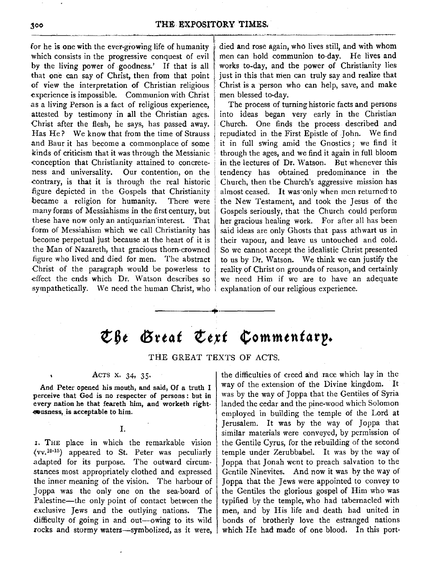for he is one with the ever-growing life of humanity which consists in the progressive conquest of evil by the living power of goodness.' If that is all that one can say of Christ, then from that point of view the interpretation of Christian religious experience is impossible. Communion with Christ .as a living Person is a fact of religious experience, attested by testimony in all the Christian ages. Christ after the flesh, he says, has passed away. Has He? We know that from the time of Strauss .and Baur it has become a commonplace of some kinds of criticism that it was through the Messianic , conception that Christianity attained to concreteness and universality. Our contention, on the contrary, is that it is through the real historic figure depicted in the Gospels that Christianity became a religion for humanity. There were many forms of Messiahisms in the first century, but these have now only an antiquarian'interest. That form of Messiahism which we call Christianity has become perpetual just because at the heart of it is the Man of Nazareth, that gracious thorn-crowned figure who lived and died for men. The abstract Christ of the paragraph would be powerless to effect the ends which Dr. Watson describes so sympathetically. We need the human Christ, who

died and rose again, who lives still, and with whom men can hold communion to-day. He lives and works to-day, and the power of Christianity lies just in this that men can truly say and realize that Christ is a person who can help, save, and make men blessed to•day.

The process of turning historic facts and persons into ideas began very early in the Christian Church. One finds the process described and repudiated in the First Epistle of John. We find it in full swing amid the Gnostics ; we find it through the ages, and we find it again in full bloom in the lectures of Dr. Watson. But whenever this tendency has obtained predominance in the Church, then the Church's aggressive mission has almost ceased. It was·only when men returned·to the New Testament, and took the Jesus of the Gospels seriously, that the Church could perform her gracious healing work. For after all has been said ideas are only Ghosts that pass athwart us in their vapour, and leave us untouched and cold. So we cannot accept the idealistic Christ presented to us by Dr. Watson. We think we can justify the reality of Christ on grounds of reason, and certainly we need Him if we are to have an adequate explanation of our religious experience.

## $\mathfrak{C}$  $\beta$ e *Great*  $\mathfrak{C}$ ert  $\mathfrak{C}$ ommentary.

-------·+·-------

THE GREAT TEXTS OF ACTS.

## ACTS x. 34, 35.

**And Peter opened his mouth, and said, Of a** truth I **perceive that God is no respecter of persons** : but in **every nation he that feareth him, and worketh** right• **.e11>usness,is acceptable to him.** 

I.

I. THE place in which the remarkable vision  $(vv.10-15)$  appeared to St. Peter was peculiarly .adapted for its purpose. The outward circumstances most appropriately clothed and expressed the inner meaning of the vision. The harbour of Joppa was the only one on the sea-board of Palestine-the only point of contact between the exclusive Jews and the outlying nations. The difficulty of going in and out-owing to its wild rocks and stormy waters-symbolized, as it were, the difficulties of creed and race which lay in the way of the extension of the Divine kingdom. It was by the way of Joppa that the Gentiles of Syria landed the cedar and the pine-wood which Solomon employed in building the temple of the Lord at Jerusalem. It was by the way of Joppa that similar materials were conveyed, by permission of the Gentile Cyrus, for the rebuilding of the second temple under Zerubbabel. It was by the way of Joppa that Jonah went to preach salvation to the Gentile Ninevites. And now it was by the way of Joppa that the Jews were appointed to convey to the Gentiles the glorious gospel of Him who was typified by the temple, who had tabernacled with men, and by His life and death had united in bonds of brotherly love the estranged nations which He had made of one blood. In this port-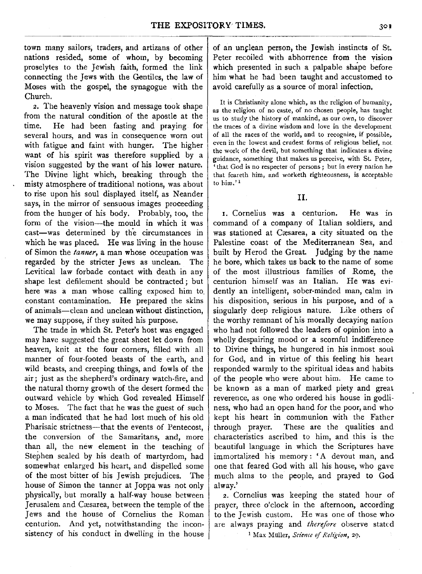town many sailors; traders, and artizans of other nations resided, some of whom, by becoming proselytes to the Jewish faith, formed the link connecting the Jews with the Gentiles, the law of Moses with the gospel, the synagogue with the Church.

2. The heavenly vision and message took shape from the natural condition of the apostle at the time. He had been fasting and praving for He had been fasting and praying for several hours, and was in consequence worn out with fatigue and faint with hunger, The higher want of his spirit was therefore supplied by a vision suggested by the want of his lower nature. The Divine light which, breaking through the misty atmosphere of traditional notions, was about to rise upon his soul displayed itself, as Neander says, **in** the mirror of sensuous images proceeding from the hunger of his body. Probably, too, the form of the vision-the mould in which it was cast-was determined by the circumstances in which he was placed, He was living in the house of Simon the *tanner,* a man whose occupation was regarded by the stricter Jews as unclean. The Levitical law forbade contact with death in any shape lest defilement should be contracted; but here was a man whose calling exposed him to. constant contamination. He prepared the skins of animals-clean and unclean without distinction, we may suppose, if they suited his purpose,

The trade in which St. Peter's host was engaged may have suggested the great sheet let down from heaven, knit at the four corners, filled with all manner of four-footed beasts of the earth, and wild beasts, and creeping things, and fowls of the air; just as the shepherd's ordinary watch-fire, and the natural thorny growth of the desert formed the outward vehicle by which God revealed Himself to Moses. The fact that he was the guest of such a man indicated that he had lost much of his old Pharisaic strictness-that the events of Pentecost, the conversion of the Samaritans, and, more than all, the new element in the teaching of Stephen sealed by his death of martyrdom, had somewhat enlarged his heart, and dispelled some of the most bitter of his Jewish prejudices\_ The house of Simon the tanner at Joppa was not only physically, but morally a half-way house between Jerusalem and Cæsarea, between the temple of the Jews and the house of Cornelius the Roman centurion. And yet, notwithstanding the inconsistency of his conduct in dwelling in the house

of an unclean person, the Jewish instincts of St. Peter recoiled with abhorrence from the vision which presented in such a palpable shape before him what he had been taught and accustomed to avoid carefully as a source of moral infection,

It is Christianity alone which, as the religion of humanity, as the religion of no caste, of no chosen people, has taught us to study the history of mankind, as our own, to discover the traces of a divine wisdom and love in the development of all the races of the world, and to recognize, if possible, even in the lowest and crudest forms of religious belief, not the work of the devil, but something that indicates a divine guidance, something that makes us perceive, with St. Peter, 'that God is no respecter of persons ; but in every nation he that feareth him, and worketh righteousness, is acceptable to him.' 1

II.

1. Cornelius was a centurion, He was in command of a company of Italian soldiers, and was stationed at Cresarea, **a** city situated on the Palestine coast of the Mediterranean Sea, and built by Herod the Great Judging by the name he bore, which takes us back to the name of some of the most illustrious families of Rome, the centurion himself was an Italian. He was evidently an intelligent, sober-minded man, calm in his disposition, serious in his purpose, and of a singularly deep religious nature. Like others of the worthy remnant of his morally decaying nation who had not followed the leaders of opinion into a wholly despairing mood or a scornful indifference to Divine things, he hungered in his inmost soul for God, and in virtue of this feeling his heart responded warmly to the spiritual ideas and habits of the people who were about him. He came to be known as a man of marked piety and great reverence, as one who ordered his house in godliness, who had an open hand for the poor, and who kept his heart in communion with the Father through prayer. These are the qualities and characteristics ascribed to him, and this is the beautiful language in which the Scriptures have immortalized his memory : 'A devout man, and one that feared God with all his house, who gave much alms to the people, and prayed to God al way.'

2. Cornelius was keeping the stated hour of prayer, three o'clock in the afternoon, according to the Jewish custom. He was one of those who are always praying and *therefore* observe stated <sup>1</sup> Max Müller, *Science of Religion*, 29,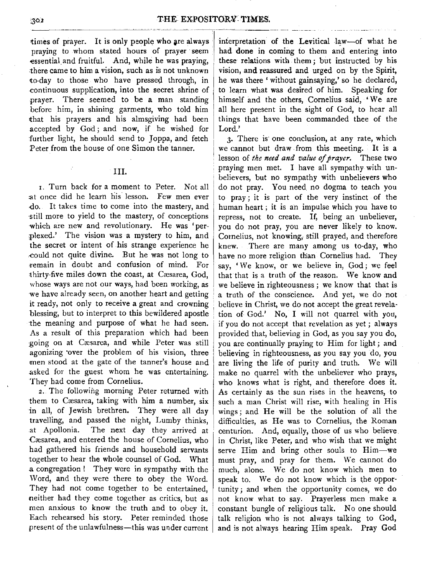times of prayer. It is only people who are always praying to whom stated hours of prayer seem -essential and fruitful. And, while he was praying, there came to him a vision, such as is not unknown to-day to those who have pressed through, in -continuous supplication, into the secret shrine of prayer. There seemed to be **a** man standing before him, in shining garments, who told him ithat his prayers and his almsgiving had been accepted by God; and now, if he wished for further light, he should send to Joppa, and fetch Peter from the house of one Simon the tanner.

III.

r. Turn back for a moment to Peter. Not all :at once did he learn his lesson. Few men ever -00. It takes time to come into the mastery, and ·still more to yield to the mastery, of conceptions -which are new and revolutionary. He was 'perplexed.' The vision was a mystery to him, and the secret or intent of his strange experience he -could not quite divine. But he was not long to remain in doubt and confusion of mind. For thirty-five miles down the coast, at Cæsarea, God, whose ways are not our ways, had been working, as we have already seen, on another heart and getting it ready, not only to receive a great and crowning blessing, but to interpret to this bewildered apostle the meaning and purpose of what he had seen. As a result of this preparation which had been :going on at C1esarea, and while Peter was still agonizing over the problem of his vision, three men stood at the gate of the tanner's house and asked for the guest whom he was entertaining. Thev had come from Cornelius.

*2:* The following morning Peter returned with them to Cæsarea, taking with him a number, six in all, of Jewish brethren, They were all day travelling, and passed the night, Lumby thinks, at Apollonia. The next day they arrived at Cæsarea, and entered the house of Cornelius, who had gathered his friends and household servants together to hear the whole counsel of God. What a congregation! They were in sympathy with the Word, and they were there to obey the Word. They had not come together to be entertained, neither had they come together as critics, but as men anxious to know the truth and to obey it. Each rehearsed his story. Peter reminded those present of the unlawfulness-this was under current interpretation of the Levitical law-of what he had done in coming to them and entering into these relations with them; but instructed by his vision, and reassured and urged on by the Spirit, he was there' without gainsaying,' so he declared, to learn what was desired of him. Speaking for himself and the others, Cornelius said, 'We are **all** here present in the sight of God, to hear all things that have been commanded thee of the Lord.'

*3.* There is· one conclusion, at any rate, which we cannot but draw from this meeting. It is a lesson of *the need and value of prayer.* These two praying men met. I have all sympathy with unbelievers, but no sympathy with unbelievers who do not pray. You need no dogma to teach you to pray; it is part of the very instinct of the human heart ; it is an impulse which you have to repress, not to create. If, being an unbeliever, you do not pray, you are never likely to know. Cornelius, not knowing, still prayed, and therefore knew. There are many among us to-day, who have no more religion than Cornelius had. They say, 'We know, or we believe in, God; we feel that that is a truth of the reason. We know and we believe in righteousness ; we know that that is a truth of the conscience. And yet, we do not believe in Christ, we do not accept the great revelation of God.' No, I will not quarrel with you, if you do not accept that revelation as yet ; always provided that, believing in God, as you say you do, you are continually praying to Him for light; and believing in righteousness, as you say you do, you are living the life of purity and truth. We will make no quarrel with the unbeliever who prays, who knows what is right, and therefore does it. As certainly as the sun rises in the heavens, to such a man Christ **will** rise, with healing in His wings; and **He will** be the solution of all the difficulties, as He was to Cornelius, the Roman centurion. And, equally, those of us who believe in Christ, like Peter, and who wish that we might serve Him and bring other souls to Him-we must pray, and pray for them. We cannot do much, alone. We do not know which men to speak to. We do not know which is the opportunity; and when the opportunity comes, we do not know what to say. Prayerless men make a constant bungle of religious talk. No one should talk religion who is not always talking to God, and is not always hearing Him speak. Pray God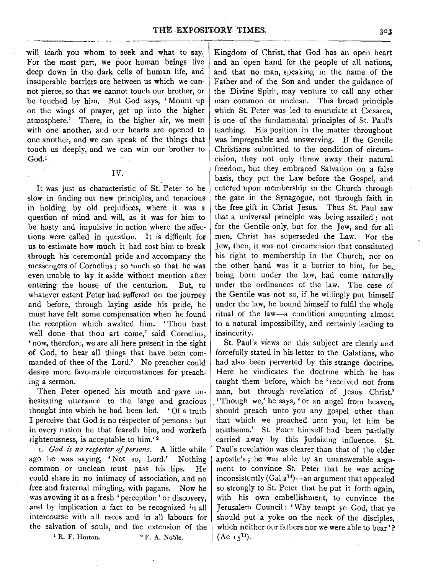will teach you whom to seek and what to say. For the most part, we poor human beings live deep down in the dark cells of human life, and insuperable barriers are between us which we cannot pierce, so that we cannot touch our brother, or be touched by him. But God says, 'Mount up on the wings of prayer, get up into the higher atmosphere.' There, in the higher air, we meet with one another, and our hearts are opened to one another, and we can speak of the things that touch us deeply, and we can win our brother to God.1

IV.

It was just as characteristic of St. Peter to be slow in finding out new principles, and tenacious in holding by old prejudices, where it was a question of mind and will, as it was for him to be hasty and impulsive in action where the affections were called in question. It is difficult for us to estimate how much it had cost him to break through his ceremonial pride and accompany the messengers of Cornelius; so much so that he was even unable to lay it aside without mention after entering the house of the centurion. But, to whatever extent Peter had suffered on the journey and before, through laying aside his pride, he must have felt some compensation when he found the reception which awaited him. 'Thou hast well done that thou art come,' said Cornelius, 'now, therefore, we are all here present in the sight of God, to hear all things that have been commanded of thee of the Lord.' No preacher could .desire more favourable circumstances for preaching a sermon.

Then Peter opened his mouth and gave unhesitating utterance to the large and gracious thought into which he had been led. ' Of a truth I perceive that God is no respecter of persons : but in every nation he that feareth him, and worketh righteousness, is acceptable to him.' *<sup>2</sup>*

1. *God is no respecter of persons.* A little while ago he was saying, ' Not so, Lord.' Nothing common or unclean must pass his lips. He could share in no intimacy of association, and no free and fraternal mingling, with pagans. Now he was avowing it as a fresh 'perception ' or discovery, and by implication a fact to be recognized  $n$  all intercourse with all races and in all labours for the salvation of souls, and the extension of the  $^{1}$  R. F. Horton.  $^{2}$  F. A. Noble.

Kingdom of Christ, that God has an open heart and an open hand for the people of all nations, and that no man, speaking in the name of the Father and of the Son and under the guidance of the Divine Spirit, may venture to call any other man common or unclean. This broad principle which St. Peter was led to enunciate at Cæsarea, is one of the fundamental principles of St. Paul's teaching. His position in the matter throughout was impregnable and unswerving. If the Gentile Christians submitted to the condition of circumcision, they not only threw away their natural freedom, but they embraced Salvation on a false basis, they put the Law before the Gospel, and entered upon membership in the Church through the gate in the Synagogue, not through faith in the free gift in Christ Jesus. Thus St. Paul saw that a universal principle was being assailed ; not for the Gentile only, but for the Jew, and for all men, Christ has superseded the Law. For the Jew, then, it was not circumcision that constituted his right to membership in the Church, nor on the other hand was it a barrier to him, for he, being born under the law, had come naturally under the ordinances of the law. The case of the Gentile was not so, if he willingly put himself under the law, he bound himself to fulfil the whole ritual of the law-a condition amounting almost to a natural impossibility, and certainly leading to insincerity.

St. Paul's views on this subject are clearly and forcefully stated in his letter to the Galatians, who had also been perverted by this strange doctrine. Here he vindicates the doctrine which he has taught them before, which he 'received not from man, but through revelation of Jesus Christ.' . 'Though we,' he says, 'or an angel from heaven, should preach unto you any gospel other than that which we preached unto you, let him be anathema.' St. Peter himself had been partially carried away by this Judaizing influence. St. Paul's revelation was clearer than that of the elder apostle's ; he was able by an unanswerable **argu**ment to convince St. Peter that he was acting inconsistently (Gal  $2^{14}$ )--an argument that appealed so strongly to St. Peter that he put it forth again, with his own embellishment, to convince the Jerusalem Council: 'Why tempt ye God, that ye should put a yoke on the neck of the disciples, which neither our fathers nor we were able to bear'?  $(Ac<sub>15</sub><sup>13</sup>).$